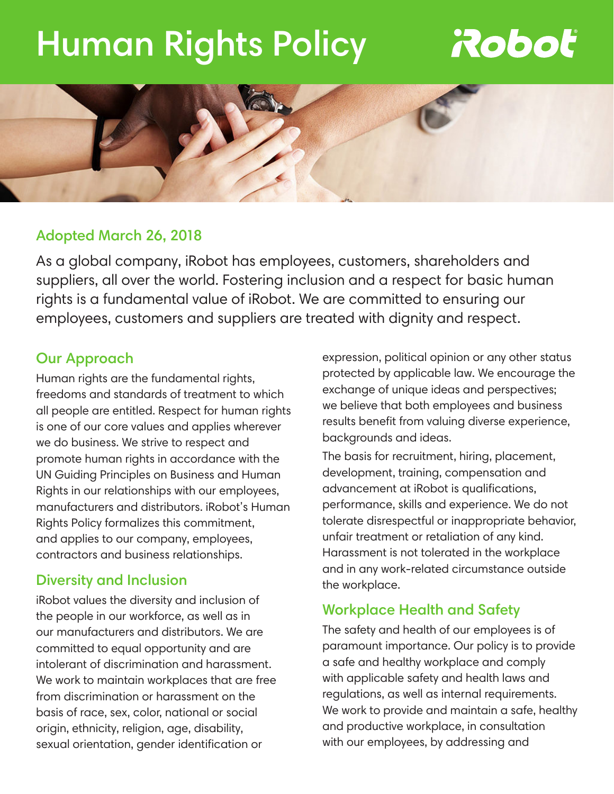# Human Rights Policy

## **Roboť**



#### Adopted March 26, 2018

As a global company, iRobot has employees, customers, shareholders and suppliers, all over the world. Fostering inclusion and a respect for basic human rights is a fundamental value of iRobot. We are committed to ensuring our employees, customers and suppliers are treated with dignity and respect.

#### Our Approach

Human rights are the fundamental rights, freedoms and standards of treatment to which all people are entitled. Respect for human rights is one of our core values and applies wherever we do business. We strive to respect and promote human rights in accordance with the UN Guiding Principles on Business and Human Rights in our relationships with our employees, manufacturers and distributors. iRobot's Human Rights Policy formalizes this commitment, and applies to our company, employees, contractors and business relationships.

#### Diversity and Inclusion

iRobot values the diversity and inclusion of the people in our workforce, as well as in our manufacturers and distributors. We are committed to equal opportunity and are intolerant of discrimination and harassment. We work to maintain workplaces that are free from discrimination or harassment on the basis of race, sex, color, national or social origin, ethnicity, religion, age, disability, sexual orientation, gender identification or

expression, political opinion or any other status protected by applicable law. We encourage the exchange of unique ideas and perspectives; we believe that both employees and business results benefit from valuing diverse experience, backgrounds and ideas.

The basis for recruitment, hiring, placement, development, training, compensation and advancement at iRobot is qualifications, performance, skills and experience. We do not tolerate disrespectful or inappropriate behavior, unfair treatment or retaliation of any kind. Harassment is not tolerated in the workplace and in any work-related circumstance outside the workplace.

#### Workplace Health and Safety

The safety and health of our employees is of paramount importance. Our policy is to provide a safe and healthy workplace and comply with applicable safety and health laws and regulations, as well as internal requirements. We work to provide and maintain a safe, healthy and productive workplace, in consultation with our employees, by addressing and